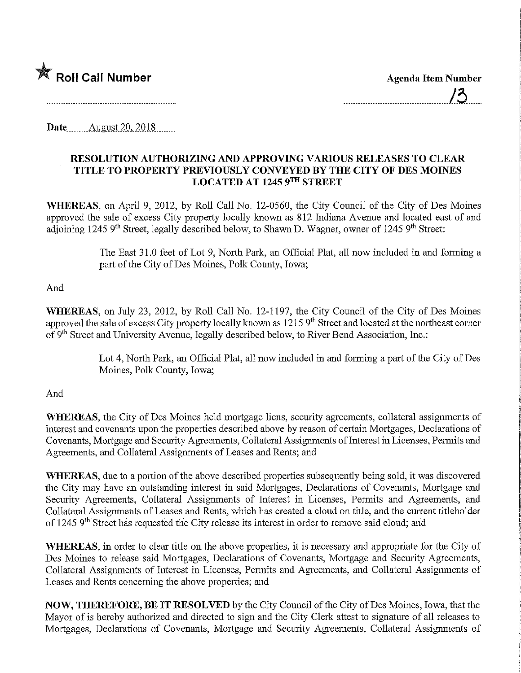

**Date...** August 20, 2018.

## RESOLUTION AUTHORIZING AND APPROVING VARIOUS RELEASES TO CLEAR TITLE TO PROPERTY PREVIOUSLY CONVEYED BY THE CITY OF DES MOINES LOCATED AT 1245 9™ STREET

WHEREAS, on April 9, 2012, by Roll Call No. 12-0560, the City Council of the City of Des Moines approved the sale of excess City property locally known as 812 Indiana Avenue and located east of and adjoining 1245 9<sup>th</sup> Street, legally described below, to Shawn D. Wagner, owner of 1245 9<sup>th</sup> Street:

> The East 31.0 feet of Lot 9, North Park, an Official Plat, all now included in and forming a part of the City of Des Moines, Polk County, Iowa;

## And

WHEREAS, on July 23, 2012, by Roll Call No. 12-1197, the City Council of the City of Des Moines approved the sale of excess City property locally known as  $1215\,9<sup>th</sup>$  Street and located at the northeast corner of 9<sup>th</sup> Street and University Avenue, legally described below, to River Bend Association, Inc.:

> Lot 4, North Park, an Official Plat, all now included in and forming a part of the City of Des Moines, Polk County, Iowa;

## And

WHEREAS, the City of Des Moines held mortgage liens, security agreements, collateral assignments of interest and covenants upon the properties described above by reason of certain Mortgages, Declarations of Covenants, Mortgage and Security Agreements, Collateral Assignments of Interest in Licenses, Permits and Agreements, and Collateral Assignments of Leases and Rents; and

WHEREAS, due to a portion of the above described properties subsequently being sold, it was discovered the City may have an outstanding interest in said Mortgages, Declarations of Covenants, Mortgage and Security Agreements, Collateral Assignments of Interest in Licenses, Permits and Agreements, and Collateral Assignments of Leases and Rents, which has created a cloud on title, and the current titleholder of 1245 9<sup>th</sup> Street has requested the City release its interest in order to remove said cloud; and

WHEREAS, in order to clear title on the above properties, it is necessary and appropriate for the City of Des Moines to release said Mortgages, Declarations of Covenants, Mortgage and Security Agreements, Collateral Assignments of Interest in Licenses, Permits and Agreements, and Collateral Assignments of Leases and Rents concerning the above properties; and

NOW, THEREFORE, BE IT RESOLVED by the City Council of the City of Des Moines, Iowa, that the Mayor of is hereby authorized and directed to sign and the City Clerk attest to signature of all releases to Mortgages, Declarations of Covenants, Mortgage and Security Agreements, Collateral Assignments of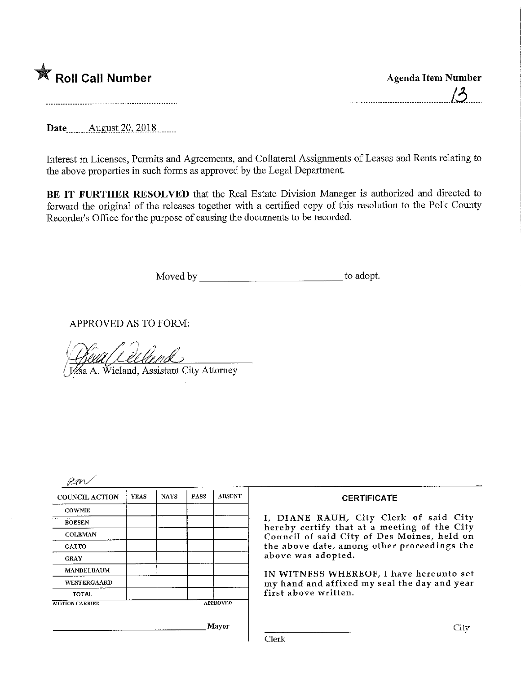

 $\sim$ .

Date **August** 20, 2018

Interest in Licenses, Permits and Agreements, and Collateral Assignments of Leases and Rents relating to the above properties in such forms as approved by the Legal Department.

BE IT FURTHER RESOLVED that the Real Estate Division Manager is authorized and directed to forward the original of the releases together with a certified copy of this resolution to the Polk County Recorder's Office for the purpose of causing the documents to be recorded.

Moved by to adopt.

APPROVED AS TO FORM:

Wieland, Assistant City Attorney

| <b>COUNCIL ACTION</b> | <b>YEAS</b> | <b>NAYS</b>     | <b>PASS</b> | <b>ABSENT</b> |
|-----------------------|-------------|-----------------|-------------|---------------|
| <b>COWNIE</b>         |             |                 |             |               |
| <b>BOESEN</b>         |             |                 |             |               |
| <b>COLEMAN</b>        |             |                 |             |               |
| <b>GATTO</b>          |             |                 |             |               |
| <b>GRAY</b>           |             |                 |             |               |
| <b>MANDELBAUM</b>     |             |                 |             |               |
| <b>WESTERGAARD</b>    |             |                 |             |               |
| <b>TOTAL</b>          |             |                 |             |               |
| <b>MOTION CARRIED</b> |             | <b>APPROVED</b> |             |               |
|                       |             |                 |             | Mayor         |

## **CERTIFICATE**

I, DIANE RAUH, City Clerk of said City hereby certify that at a meeting of the City Council of said City of Des Moines, held on the above date, among other proceedings the above was adopted.

IN WITNESS WHEREOF, I have hereunto set my hand and affixed my seal the day and year first above written.

Clerk

**City**